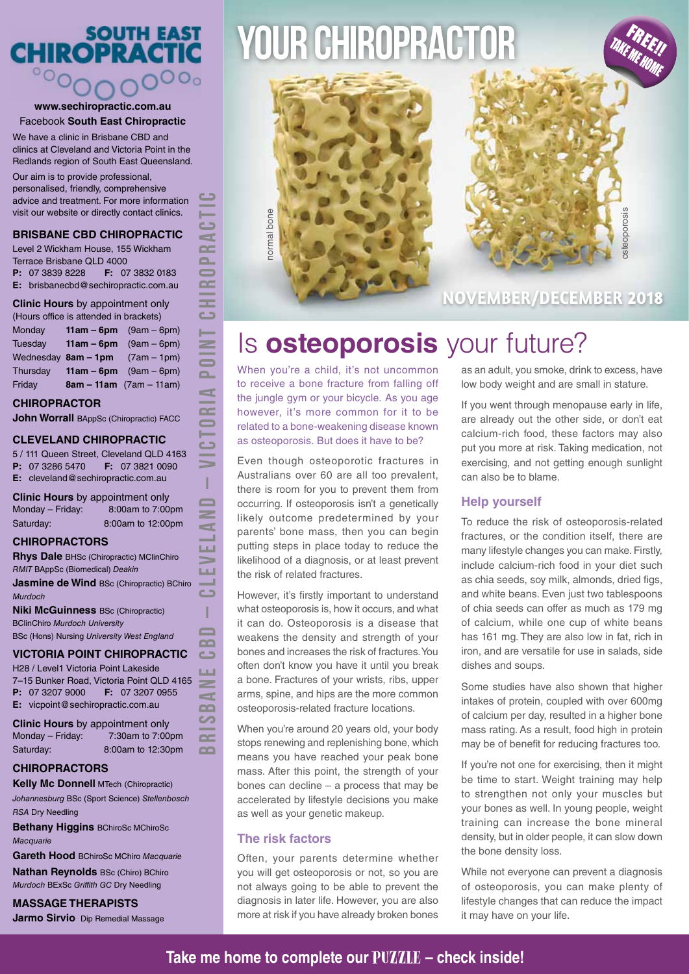## SOUTH EAST<br>CHIROPRACTIC  $\overline{O}$  $OO<sub>0</sub>$

#### **www.sechiropractic.com.au** Facebook **South East Chiropractic**

We have a clinic in Brisbane CBD and clinics at Cleveland and Victoria Point in the Redlands region of South East Queensland.

Our aim is to provide professional, personalised, friendly, comprehensive advice and treatment. For more information visit our website or directly contact clinics.

#### **BRISBANE CBD CHIROPRACTIC**

Level 2 Wickham House, 155 Wickham Terrace Brisbane QLD 4000 **P:** 07 3839 8228 **F:** 07 3832 0183 **E:** brisbanecbd@sechiropractic.com.au

#### **Clinic Hours** by appointment only

(Hours office is attended in brackets) Monday **11am – 6pm** (9am – 6pm) Tuesday **11am – 6pm** (9am – 6pm) Wednesday **8am – 1pm** (7am – 1pm) Thursday **11am – 6pm** (9am – 6pm) Friday **8am – 11am** (7am – 11am)

#### **CHIROPRACTOR**

**John Worrall BAppSc (Chiropractic) FACC** 

#### **CLEVELAND CHIROPRACTIC**

5 / 111 Queen Street, Cleveland QLD 4163 **P:** 07 3286 5470 **F:** 07 3821 0090 **E:** cleveland@sechiropractic.com.au

**BRISBANE CBD – CLEVELAND – VICTORIA POINT CHIROPRACTIC**

Ï  $\blacksquare$  $\geq$ 

**LLI** ш  $\overline{\mathbf{C}}$ Т  $\blacksquare$  $\sim$  $\sim$ **LLI**  $\geq$  $\blacksquare$  $\sim$  $\sim$  $\sim$  $\sim$ 

 $\blacktriangleleft$  $\overline{\phantom{a}}$ 

 $\sim$ 

**Clinic Hours** by appointment only Monday – Friday: 8:00am to 7:00pm Saturday: 8:00am to 12:00pm

#### **CHIROPRACTORS**

**Rhys Dale** BHSc (Chiropractic) MClinChiro *RMIT* BAppSc (Biomedical) *Deakin* **Jasmine de Wind BSc (Chiropractic) BChiro** *Murdoch* **Niki McGuinness** BSc (Chiropractic) BClinChiro *Murdoch University* BSc (Hons) Nursing *University West England*

#### **VICTORIA POINT CHIROPRACTIC**

H28 / Level1 Victoria Point Lakeside 7–15 Bunker Road, Victoria Point QLD 4165 **P:** 07 3207 9000 **F:** 07 3207 0955 **E:** vicpoint@sechiropractic.com.au

**Clinic Hours** by appointment only Monday – Friday: 7:30am to 7:00pm Saturday: 8:00am to 12:30pm

#### **CHIROPRACTORS**

**Kelly Mc Donnell MTech (Chiropractic)** *Johannesburg* BSc (Sport Science) *Stellenbosch RSA* Dry Needling

**Bethany Higgins** BChiroSc MChiroSc *Macquarie*

**Gareth Hood** BChiroSc MChiro *Macquarie*

**Nathan Reynolds** BSc (Chiro) BChiro *Murdoch* BExSc *Griffith GC* Dry Needling

### **MASSAGE THERAPISTS**

**Jarmo Sirvio** Dip Remedial Massage

# YOUR CHIROPRACTOR



## osteoporosis pporosis

FREE!!<br>FREE!! TAKE ME HOME

## **NOVEMBER/DECEMBER 2018**

## Is **osteoporosis** your future?

When you're a child, it's not uncommon to receive a bone fracture from falling off the jungle gym or your bicycle. As you age however, it's more common for it to be related to a bone-weakening disease known as osteoporosis. But does it have to be?

Even though osteoporotic fractures in Australians over 60 are all too prevalent, there is room for you to prevent them from occurring. If osteoporosis isn't a genetically likely outcome predetermined by your parents' bone mass, then you can begin putting steps in place today to reduce the likelihood of a diagnosis, or at least prevent the risk of related fractures.

However, it's firstly important to understand what osteoporosis is, how it occurs, and what it can do. Osteoporosis is a disease that weakens the density and strength of your bones and increases the risk of fractures. You often don't know you have it until you break a bone. Fractures of your wrists, ribs, upper arms, spine, and hips are the more common osteoporosis-related fracture locations.

When you're around 20 years old, your body stops renewing and replenishing bone, which means you have reached your peak bone mass. After this point, the strength of your bones can decline – a process that may be accelerated by lifestyle decisions you make as well as your genetic makeup.

#### **The risk factors**

Often, your parents determine whether you will get osteoporosis or not, so you are not always going to be able to prevent the diagnosis in later life. However, you are also more at risk if you have already broken bones

as an adult, you smoke, drink to excess, have low body weight and are small in stature.

If you went through menopause early in life, are already out the other side, or don't eat calcium-rich food, these factors may also put you more at risk. Taking medication, not exercising, and not getting enough sunlight can also be to blame.

#### **Help yourself**

To reduce the risk of osteoporosis-related fractures, or the condition itself, there are many lifestyle changes you can make. Firstly, include calcium-rich food in your diet such as chia seeds, soy milk, almonds, dried figs, and white beans. Even just two tablespoons of chia seeds can offer as much as 179 mg of calcium, while one cup of white beans has 161 mg. They are also low in fat, rich in iron, and are versatile for use in salads, side dishes and soups.

Some studies have also shown that higher intakes of protein, coupled with over 600mg of calcium per day, resulted in a higher bone mass rating. As a result, food high in protein may be of benefit for reducing fractures too.

If you're not one for exercising, then it might be time to start. Weight training may help to strengthen not only your muscles but your bones as well. In young people, weight training can increase the bone mineral density, but in older people, it can slow down the bone density loss.

While not everyone can prevent a diagnosis of osteoporosis, you can make plenty of lifestyle changes that can reduce the impact it may have on your life.

### **Take me home to complete our PUZZLE – check inside!**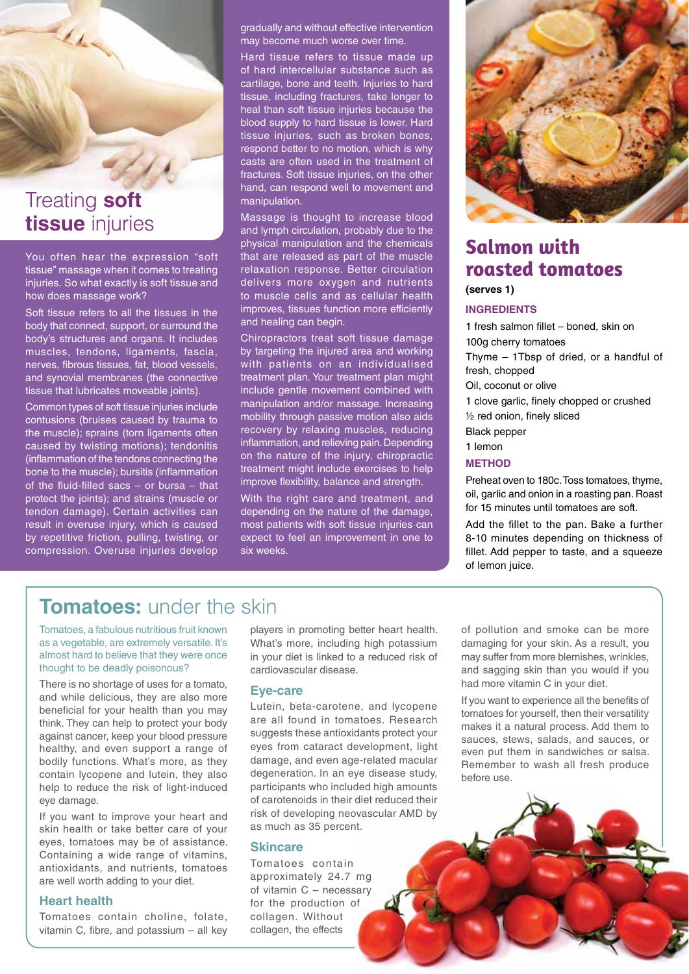

## Treating **soft tissue** injuries

You often hear the expression "soft tissue" massage when it comes to treating injuries. So what exactly is soft tissue and how does massage work?

Soft tissue refers to all the tissues in the body that connect, support, or surround the body's structures and organs. It includes muscles, tendons, ligaments, fascia, nerves, fibrous tissues, fat, blood vessels, and synovial membranes (the connective tissue that lubricates moveable joints).

Common types of soft tissue injuries include contusions (bruises caused by trauma to the muscle); sprains (torn ligaments often caused by twisting motions); tendonitis (inflammation of the tendons connecting the bone to the muscle); bursitis (inflammation of the fluid-filled sacs – or bursa – that protect the joints); and strains (muscle or tendon damage). Certain activities can result in overuse injury, which is caused by repetitive friction, pulling, twisting, or compression. Overuse injuries develop

gradually and without effective intervention may become much worse over time.

Hard tissue refers to tissue made up of hard intercellular substance such as cartilage, bone and teeth. Injuries to hard tissue, including fractures, take longer to heal than soft tissue injuries because the blood supply to hard tissue is lower. Hard tissue injuries, such as broken bones, respond better to no motion, which is why casts are often used in the treatment of fractures. Soft tissue injuries, on the other hand, can respond well to movement and manipulation.

Massage is thought to increase blood and lymph circulation, probably due to the physical manipulation and the chemicals that are released as part of the muscle relaxation response. Better circulation delivers more oxygen and nutrients to muscle cells and as cellular health improves, tissues function more efficiently and healing can begin.

Chiropractors treat soft tissue damage by targeting the injured area and working with patients on an individualised treatment plan. Your treatment plan might include gentle movement combined with manipulation and/or massage. Increasing mobility through passive motion also aids recovery by relaxing muscles, reducing inflammation, and relieving pain. Depending on the nature of the injury, chiropractic treatment might include exercises to help improve flexibility, balance and strength.

With the right care and treatment, and depending on the nature of the damage, most patients with soft tissue injuries can expect to feel an improvement in one to six weeks.



## **Salmon with roasted tomatoes**

#### **(serves 1)**

#### **INGREDIENTS**

1 fresh salmon fillet – boned, skin on 100g cherry tomatoes Thyme – 1Tbsp of dried, or a handful of fresh, chopped Oil, coconut or olive 1 clove garlic, finely chopped or crushed ½ red onion, finely sliced Black pepper 1 lemon

#### **METHOD**

Preheat oven to 180c. Toss tomatoes, thyme, oil, garlic and onion in a roasting pan. Roast for 15 minutes until tomatoes are soft.

Add the fillet to the pan. Bake a further 8-10 minutes depending on thickness of fillet. Add pepper to taste, and a squeeze of lemon juice.

## **Tomatoes:** under the skin

Tomatoes, a fabulous nutritious fruit known as a vegetable, are extremely versatile. It's almost hard to believe that they were once thought to be deadly poisonous?

There is no shortage of uses for a tomato, and while delicious, they are also more beneficial for your health than you may think. They can help to protect your body against cancer, keep your blood pressure healthy, and even support a range of bodily functions. What's more, as they contain lycopene and lutein, they also help to reduce the risk of light-induced eye damage.

If you want to improve your heart and skin health or take better care of your eyes, tomatoes may be of assistance. Containing a wide range of vitamins, antioxidants, and nutrients, tomatoes are well worth adding to your diet.

#### **Heart health**

Tomatoes contain choline, folate, vitamin C, fibre, and potassium – all key players in promoting better heart health. What's more, including high potassium in your diet is linked to a reduced risk of cardiovascular disease.

#### **Eye-care**

Lutein, beta-carotene, and lycopene are all found in tomatoes. Research suggests these antioxidants protect your eyes from cataract development, light damage, and even age-related macular degeneration. In an eye disease study, participants who included high amounts of carotenoids in their diet reduced their risk of developing neovascular AMD by as much as 35 percent.

#### **Skincare**

Tomatoes contain approximately 24.7 mg of vitamin C – necessary for the production of collagen. Without collagen, the effects

of pollution and smoke can be more damaging for your skin. As a result, you may suffer from more blemishes, wrinkles, and sagging skin than you would if you had more vitamin C in your diet.

If you want to experience all the benefits of tomatoes for yourself, then their versatility makes it a natural process. Add them to sauces, stews, salads, and sauces, or even put them in sandwiches or salsa. Remember to wash all fresh produce before use.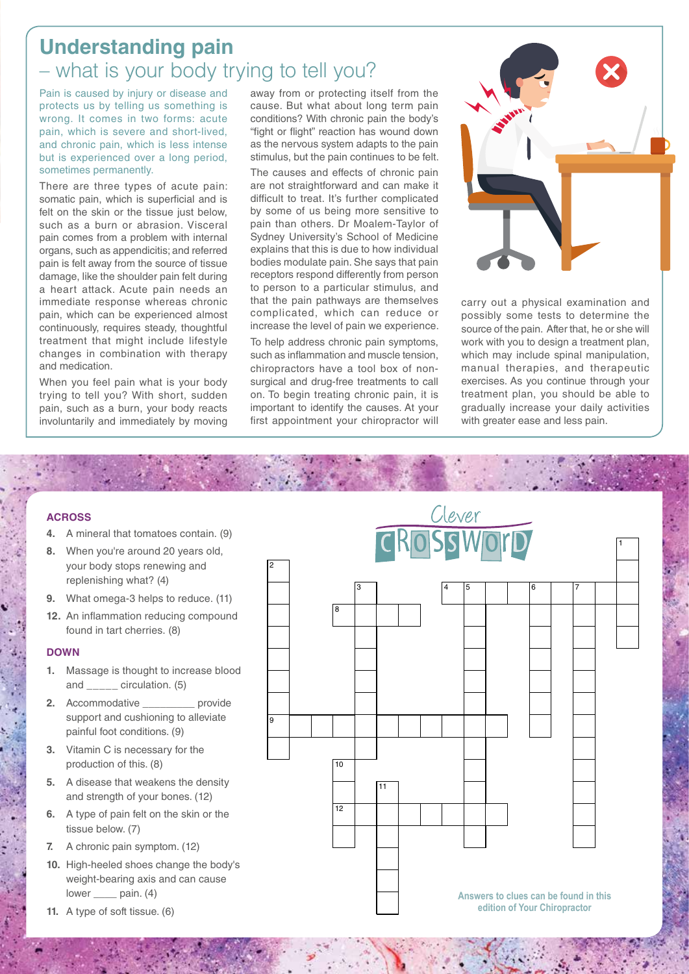## **Understanding pain** – what is your body trying to tell you?

Pain is caused by injury or disease and protects us by telling us something is wrong. It comes in two forms: acute pain, which is severe and short-lived, and chronic pain, which is less intense but is experienced over a long period, sometimes permanently.

There are three types of acute pain: somatic pain, which is superficial and is felt on the skin or the tissue just below. such as a burn or abrasion. Visceral pain comes from a problem with internal organs, such as appendicitis; and referred pain is felt away from the source of tissue damage, like the shoulder pain felt during a heart attack. Acute pain needs an immediate response whereas chronic pain, which can be experienced almost continuously, requires steady, thoughtful treatment that might include lifestyle changes in combination with therapy and medication.

When you feel pain what is your body trying to tell you? With short, sudden pain, such as a burn, your body reacts involuntarily and immediately by moving away from or protecting itself from the cause. But what about long term pain conditions? With chronic pain the body's "fight or flight" reaction has wound down as the nervous system adapts to the pain stimulus, but the pain continues to be felt.

The causes and effects of chronic pain are not straightforward and can make it difficult to treat. It's further complicated by some of us being more sensitive to pain than others. Dr Moalem-Taylor of Sydney University's School of Medicine explains that this is due to how individual bodies modulate pain. She says that pain receptors respond differently from person to person to a particular stimulus, and that the pain pathways are themselves complicated, which can reduce or increase the level of pain we experience.

To help address chronic pain symptoms, such as inflammation and muscle tension, chiropractors have a tool box of nonsurgical and drug-free treatments to call on. To begin treating chronic pain, it is important to identify the causes. At your first appointment your chiropractor will



carry out a physical examination and possibly some tests to determine the source of the pain. After that, he or she will work with you to design a treatment plan, which may include spinal manipulation, manual therapies, and therapeutic exercises. As you continue through your treatment plan, you should be able to gradually increase your daily activities with greater ease and less pain.

#### **ACROSS**

- **4.** A mineral that tomatoes contain. (9)
- **8.** When you're around 20 years old, your body stops renewing and replenishing what? (4)
- **9.** What omega-3 helps to reduce. (11)
- **12.** An inflammation reducing compound found in tart cherries. (8)

#### **DOWN**

- **1.** Massage is thought to increase blood and \_\_\_\_\_ circulation. (5)
- **2.** Accommodative **provide** support and cushioning to alleviate painful foot conditions. (9)
- **3.** Vitamin C is necessary for the production of this. (8)
- **5.** A disease that weakens the density and strength of your bones. (12)
- **6.** A type of pain felt on the skin or the tissue below. (7)
- **7.** A chronic pain symptom. (12)
- **10.** High-heeled shoes change the body's weight-bearing axis and can cause lower pain. (4)
- **11.** A type of soft tissue. (6)



Across Download Contractors Download